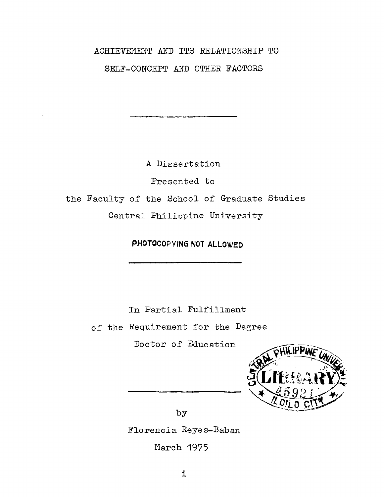# ACHIEVEMENT AND ITS RELATIONSHIP TO SELF-CONCEPT AND OTHER FACTORS

A Dissertation

Presented to

the Faculty of the School of Graduate Studies

Central Philippine University

PHOTOCOPYING NOT ALLOWED

In Partial Fulfillment

of the Requirement for the Degree

Doctor of Education



by

Florencia Reyes-Baban

March 1975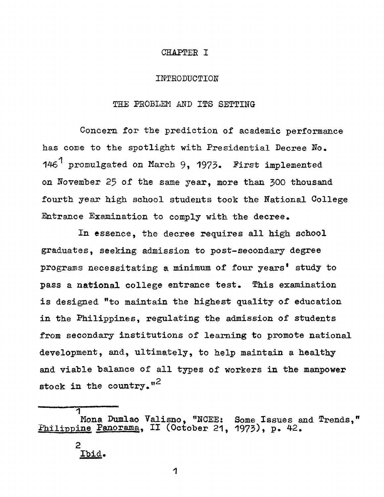### CHAPTER I

#### INTRODUCTION

## THE PROBLEM AND ITS SETTING

Concern for the prediction of academic performance has come to the spotlight with Presidential Decree No. 1 146 promulgated on March 9, 1973. First implemented on November 25 of the same year, more than 300 thousand fourth year high school students took the National College Entrance Examination to comply with the decree.

In essence, the decree requires all high school graduates, seeking admission to post-secondary degree programs necessitating a minimum of four years' study to pass a national college entrance test. This examination is designed "to maintain the highest quality of education in the Philippines, regulating the admission of students from secondary institutions of learning to promote national development, and, ultimately, to help maintain a healthy and viable balance of all types of workers in the manpower 2 stock in the country."

# 2 Ibid.

ৰ

1

Mona Dumlao Valisno, "NCEE: Some Issues and Trends,"<br>Fhilippine Panorama, II (October 21, 1973), p. 42.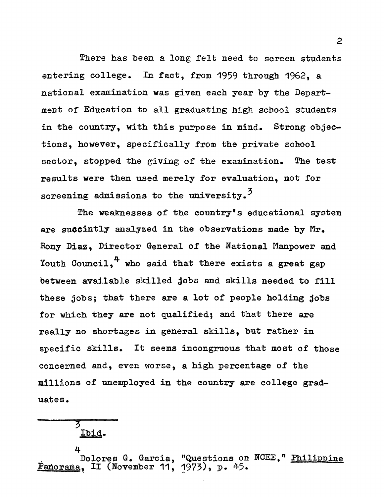There has been a long felt need to screen students entering college. In fact, from 1959 through 1962, a national examination was given each year by the Department of Education to all graduating high school students in the country, with this purpose in mind. Strong objections, however, specifically from the private school sector, stopped the giving of the examination. The test results were then used merely for evaluation, not for screening admissions to the university.<sup>3</sup>

The weaknesses of the country's educational system are succintly analyzed in the observations made by  $Mr_{\bullet}$ Bony Diaz, Director General of the National Manpower and 4 Youth Council, who said that there exists a great gap between available skilled jobs and skills needed to fill these jobs; that there are a lot of people holding jobs for which they are not qualified; and that there are really no shortages in general skills, but rather in specific skills. It seems incongruous that most of those concerned and, even worse, a high percentage of the millions of unemployed in the country are college graduates.

# 5 Ibid.

4 Dolores G. Garcia, "Questions on NCEE," Philippine Panorama, II (November 11, 1973), p. 45.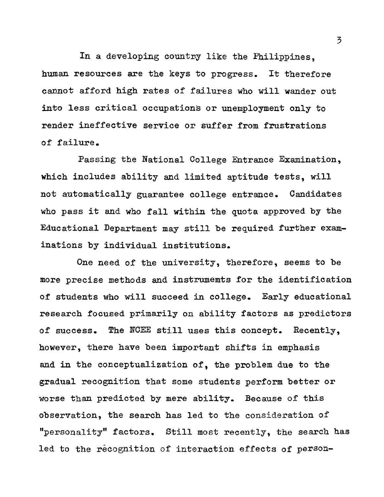In a developing country like the Philippines, human resources are the keys to progress. It therefore cannot afford high rates of failures who will wander out into less critical occupations or unemployment only to render ineffective service or suffer from frustrations of failure.

Passing the National College Entrance Examination, which includes ability and limited aptitude tests, will not automatically guarantee college entrance. Candidates who pass it and who fall within the quota approved by the Educational Department may still be required further examinations by individual institutions.

One need of the university, therefore, seems to be more precise methods and instruments for the identification of students who will succeed in college. Early educational research focused primarily on ability factors as predictors of success. The NCEE still uses this concept. Recently, however, there have been important shifts in emphasis and in the conceptualization of, the problem due to the gradual recognition that some students perform better or worse than predicted by mere ability. Because of this observation, the search has led to the consideration of "personality" factors. Still most recently, the search has led to the recognition of interaction effects of person

3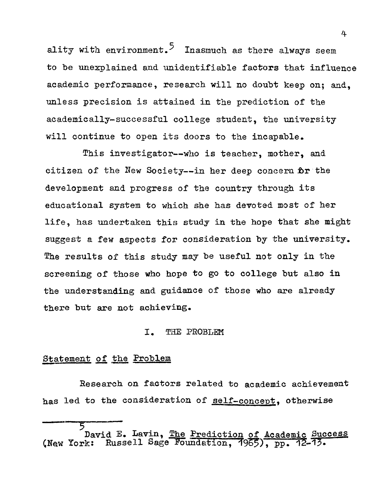ality with  $\texttt{environment.}^5$  Inasmuch as there always seem to be unexplained and unidentifiable factors that influence academic performance, research will no doubt keep on; and, unless precision is attained in the prediction of the academically-successful college student, the university will continue to open its doors to the incapable.

This investigator--who is teacher, mother, and citizen of the New Society--in her deep concern  $pr$  the development and progress of the country through its educational system to which she has devoted most of her life, has undertaken this study in the hope that she might suggest a few aspects for consideration by the university. The results of this study may be useful not only in the screening of those who hope to go to college but also in the understanding and guidance of those who are already there but are not achieving.

### I. THE PROBLEM

# Statement of the Problem

Research on factors related to academic achievement has led to the consideration of self-concept, otherwise

4

 $\overline{5}$ David E. Lavin, The Prediction of Academic Success (New York: Russell Sage Foundation, 1965), pp.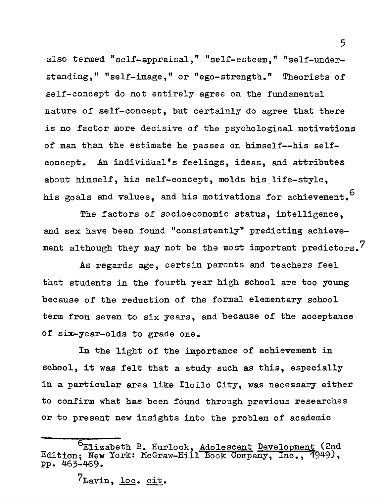also termed "self-appraisal," "self-esteem," "self-understanding," "self-image," or "ego-strength." Theorists of self-concept do not entirely agree on the fundamental nature of self-concept, but certainly do agree that there is no factor more decisive of the psychological motivations of man than the estimate he passes on himself— his selfconcept. An individual's feelings, ideas, and attributes about himself, his self-concept, molds his life-style, his goals and values, and his motivations for achievement.<sup>6</sup>

The factors of socioeconomic status, intelligence, and sex have been found "consistently" predicting achievement although they may not be the most important predictors.<sup>7</sup>

As regards age, certain parents and teachers feel that students in the fourth year high school are too young because of the reduction of the formal elementary school term from seven to six years, and because of the acceptance of six-year-olds to grade one.

In the light of the importance of achievement in school, it was felt that a study such as this, especially in a particular area like Iloilo City, was necessary either to confirm what has been found through previous researches or to present new insights into the problem of academic

 $7_{\text{Lavin}}$ ,  $100$ . cit.

Elizabeth B. Hurlock, Adolescent Development (2nd Edition; New York: McGraw-Hill Book Company, Inc., 1949), pp. 463-469.